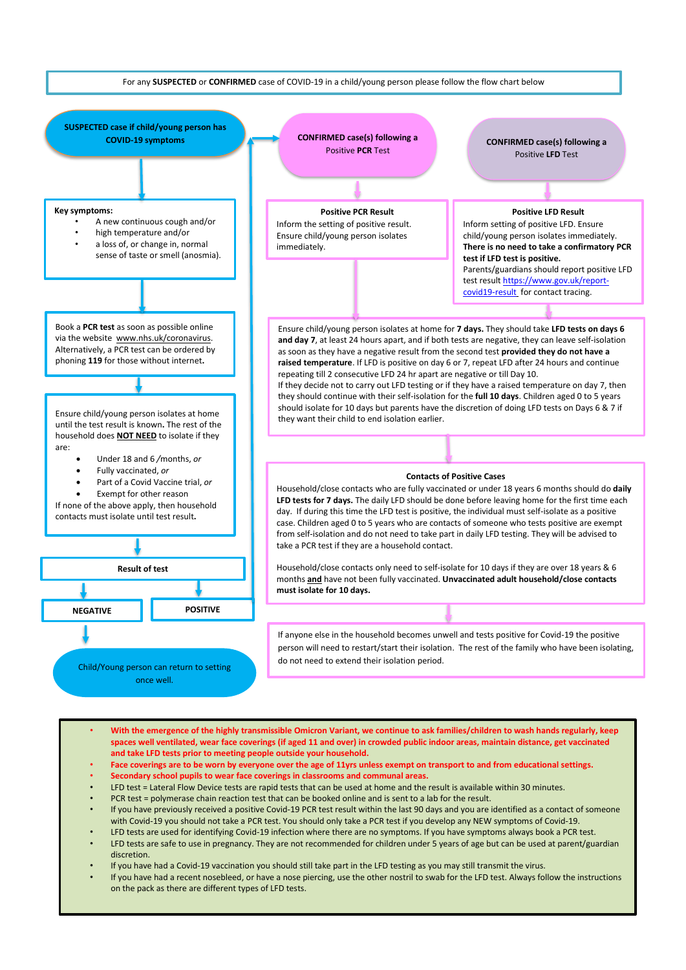

- **With the emergence of the highly transmissible Omicron Variant, we continue to ask families/children to wash hands regularly, keep spaces well ventilated, wear face coverings (if aged 11 and over) in crowded public indoor areas, maintain distance, get vaccinated and take LFD tests prior to meeting people outside your household.**
- **Face coverings are to be worn by everyone over the age of 11yrs unless exempt on transport to and from educational settings.**
- **Secondary school pupils to wear face coverings in classrooms and communal areas.**
- LFD test = Lateral Flow Device tests are rapid tests that can be used at home and the result is available within 30 minutes.
- PCR test = polymerase chain reaction test that can be booked online and is sent to a lab for the result.
- If you have previously received a positive Covid-19 PCR test result within the last 90 days and you are identified as a contact of someone with Covid-19 you should not take a PCR test. You should only take a PCR test if you develop any NEW symptoms of Covid-19.
- LFD tests are used for identifying Covid-19 infection where there are no symptoms. If you have symptoms always book a PCR test.
- LFD tests are safe to use in pregnancy. They are not recommended for children under 5 years of age but can be used at parent/guardian discretion.
- If you have had a Covid-19 vaccination you should still take part in the LFD testing as you may still transmit the virus.
- If you have had a recent nosebleed, or have a nose piercing, use the other nostril to swab for the LFD test. Always follow the instructions on the pack as there are different types of LFD tests.